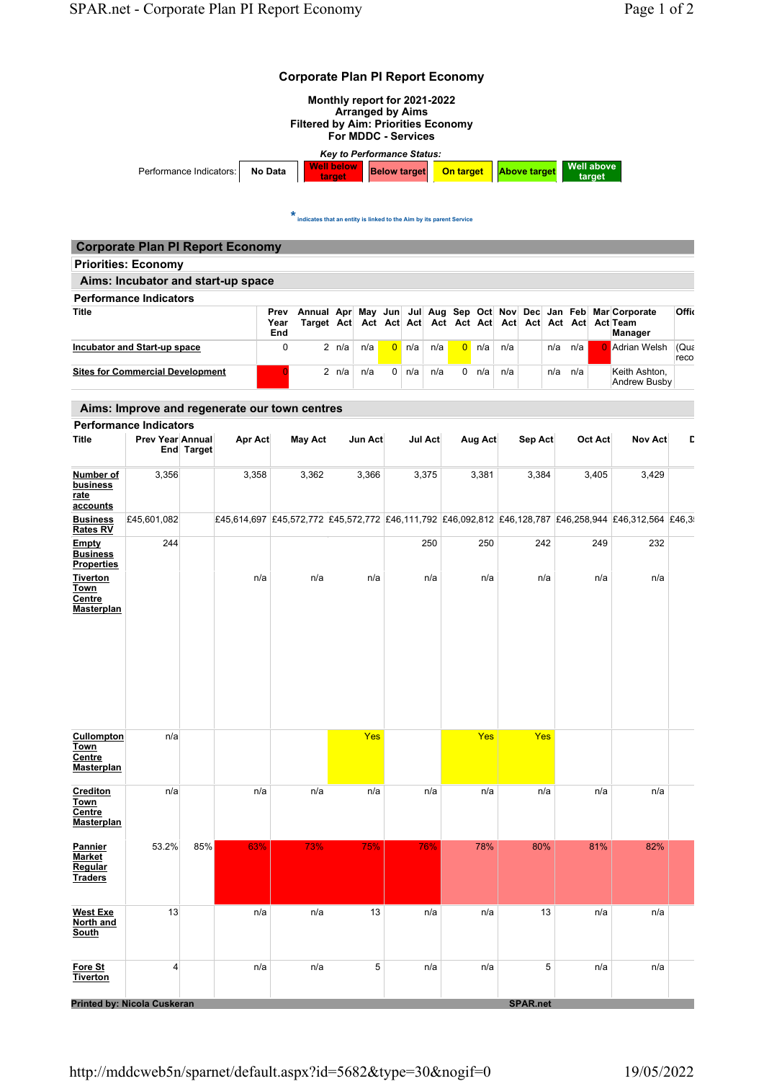

 $\star$  indicates that an entity is linked to the Aim by its parent Service

| <b>Corporate Plan PI Report Economy</b> |                     |  |                              |                |     |                       |               |     |     |                                                                             |              |
|-----------------------------------------|---------------------|--|------------------------------|----------------|-----|-----------------------|---------------|-----|-----|-----------------------------------------------------------------------------|--------------|
| <b>Priorities: Economy</b>              |                     |  |                              |                |     |                       |               |     |     |                                                                             |              |
| Aims: Incubator and start-up space      |                     |  |                              |                |     |                       |               |     |     |                                                                             |              |
| <b>Performance Indicators</b>           |                     |  |                              |                |     |                       |               |     |     |                                                                             |              |
| Title                                   | Prev<br>Year<br>End |  |                              |                |     |                       |               |     |     | Annual Apr May Jun Jul Aug Sep Oct Nov Dec Jan Feb Mar Corporate<br>Manager | Offic        |
| <b>Incubator and Start-up space</b>     | $\Omega$            |  | $2 \text{ n/a}$ $\text{n/a}$ | $0 \nvert n/a$ | n/a | $0 \text{ n/a}$ $n/a$ |               | n/a | n/a | <b>A</b> drian Welsh                                                        | (Qua<br>reco |
| <b>Sites for Commercial Development</b> |                     |  | 2 $n/a$ $n/a$                | $0 \mid n/a$   | n/a |                       | 0 $n/a$ $n/a$ | n/a | n/a | Keith Ashton,<br>Andrew Busby                                               |              |

## Aims: Improve and regenerate our town centres

|                                                          | <b>Performance Indicators</b> |            |         |                                                                                                       |         |         |         |                 |         |                |   |
|----------------------------------------------------------|-------------------------------|------------|---------|-------------------------------------------------------------------------------------------------------|---------|---------|---------|-----------------|---------|----------------|---|
| <b>Title</b>                                             | Prev Year Annual              | End Target | Apr Act | <b>May Act</b>                                                                                        | Jun Act | Jul Act | Aug Act | Sep Act         | Oct Act | <b>Nov Act</b> | D |
| Number of<br>business<br>rate<br>accounts                | 3,356                         |            | 3,358   | 3,362                                                                                                 | 3,366   | 3,375   | 3,381   | 3,384           | 3,405   | 3,429          |   |
| <b>Business</b><br><b>Rates RV</b>                       | £45,601,082                   |            |         | £45,614,697 £45,572,772 £45,572,772 £46,111,792 £46,092,812 £46,128,787 £46,258,944 £46,312,564 £46,3 |         |         |         |                 |         |                |   |
| Empty<br><b>Business</b><br><b>Properties</b>            | 244                           |            |         |                                                                                                       |         | 250     | 250     | 242             | 249     | 232            |   |
| <b>Tiverton</b><br><u>Town</u><br>Centre<br>Masterplan   |                               |            | n/a     | n/a                                                                                                   | n/a     | n/a     | n/a     | n/a             | n/a     | n/a            |   |
| Cullompton<br><b>Town</b><br>Centre<br><b>Masterplan</b> | n/a                           |            |         |                                                                                                       | Yes     |         | Yes     | Yes             |         |                |   |
| Crediton<br>Town<br><b>Centre</b><br><b>Masterplan</b>   | n/a                           |            | n/a     | n/a                                                                                                   | n/a     | n/a     | n/a     | n/a             | n/a     | n/a            |   |
| Pannier<br><b>Market</b><br>Regular<br><b>Traders</b>    | 53.2%                         | 85%        | 63%     | 73%                                                                                                   | 75%     | 76%     | 78%     | 80%             | 81%     | 82%            |   |
| <b>West Exe</b><br>North and<br>South                    | 13                            |            | n/a     | n/a                                                                                                   | 13      | n/a     | n/a     | 13              | n/a     | n/a            |   |
| Fore St<br>Tiverton                                      | 4                             |            | n/a     | n/a                                                                                                   | 5       | n/a     | n/a     | 5               | n/a     | n/a            |   |
|                                                          | Printed by: Nicola Cuskeran   |            |         |                                                                                                       |         |         |         | <b>SPAR.net</b> |         |                |   |